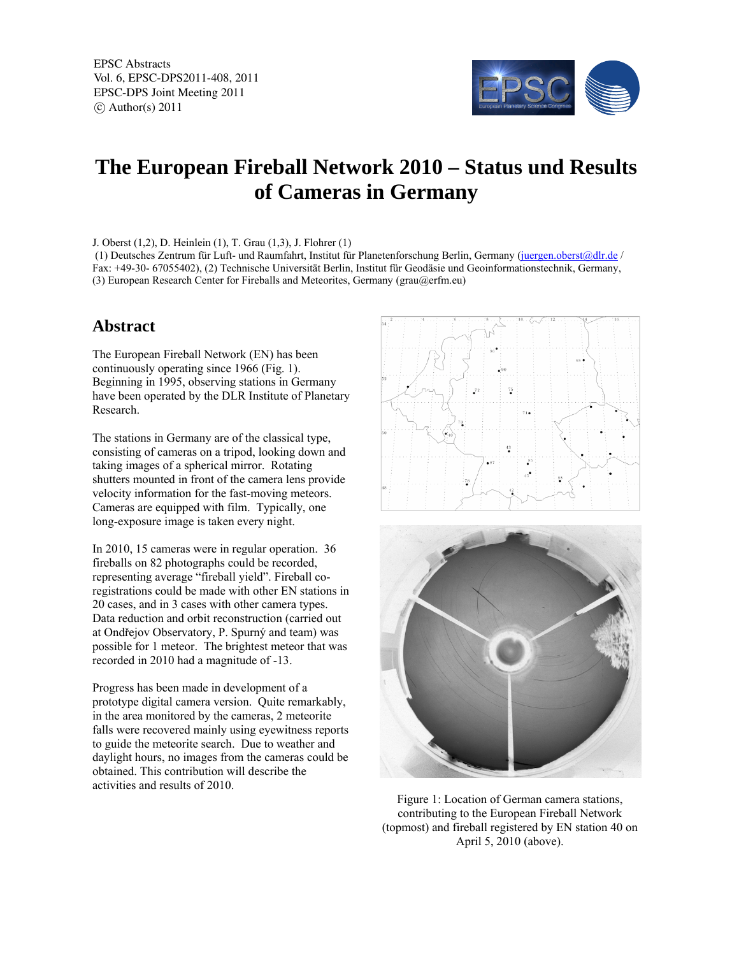EPSC Abstracts Vol. 6, EPSC-DPS2011-408, 2011 EPSC-DPS Joint Meeting 2011  $\circ$  Author(s) 2011



## **The European Fireball Network 2010 – Status und Results of Cameras in Germany**

J. Oberst (1,2), D. Heinlein (1), T. Grau (1,3), J. Flohrer (1)

 (1) Deutsches Zentrum für Luft- und Raumfahrt, Institut für Planetenforschung Berlin, Germany (juergen.oberst@dlr.de / Fax: +49-30- 67055402), (2) Technische Universität Berlin, Institut für Geodäsie und Geoinformationstechnik, Germany, (3) European Research Center for Fireballs and Meteorites, Germany (grau@erfm.eu)

## **Abstract**

The European Fireball Network (EN) has been continuously operating since 1966 (Fig. 1). Beginning in 1995, observing stations in Germany have been operated by the DLR Institute of Planetary Research.

The stations in Germany are of the classical type, consisting of cameras on a tripod, looking down and taking images of a spherical mirror. Rotating shutters mounted in front of the camera lens provide velocity information for the fast-moving meteors. Cameras are equipped with film. Typically, one long-exposure image is taken every night.

In 2010, 15 cameras were in regular operation. 36 fireballs on 82 photographs could be recorded, representing average "fireball yield". Fireball coregistrations could be made with other EN stations in 20 cases, and in 3 cases with other camera types. Data reduction and orbit reconstruction (carried out at Ondřejov Observatory, P. Spurný and team) was possible for 1 meteor. The brightest meteor that was recorded in 2010 had a magnitude of -13.

Progress has been made in development of a prototype digital camera version. Quite remarkably, in the area monitored by the cameras, 2 meteorite falls were recovered mainly using eyewitness reports to guide the meteorite search. Due to weather and daylight hours, no images from the cameras could be obtained. This contribution will describe the activities and results of 2010.





Figure 1: Location of German camera stations, contributing to the European Fireball Network (topmost) and fireball registered by EN station 40 on April 5, 2010 (above).